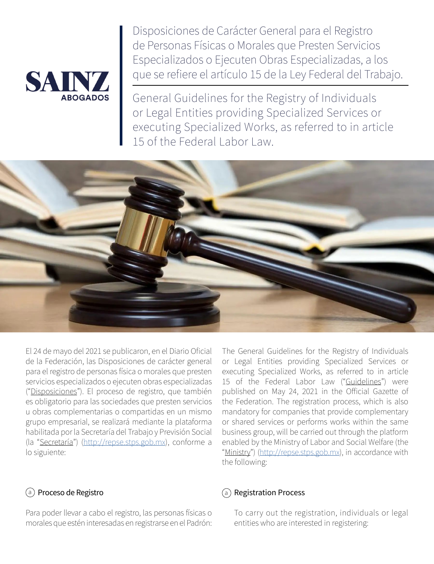

Disposiciones de Carácter General para el Registro de Personas Físicas o Morales que Presten Servicios Especializados o Ejecuten Obras Especializadas, a los que se refiere el artículo 15 de la Ley Federal del Trabajo.

General Guidelines for the Registry of Individuals or Legal Entities providing Specialized Services or executing Specialized Works, as referred to in article 15 of the Federal Labor Law.



El 24 de mayo del 2021 se publicaron, en el Diario Oficial de la Federación, las Disposiciones de carácter general para el registro de personas física o morales que presten servicios especializados o ejecuten obras especializadas ("Disposiciones"). El proceso de registro, que también es obligatorio para las sociedades que presten servicios u obras complementarias o compartidas en un mismo grupo empresarial, se realizará mediante la plataforma habilitada por la Secretaría del Trabajo y Previsión Social (la "Secretaría") (<http://repse.stps.gob.mx>), conforme a lo siguiente:

#### a) **Proceso de Registro** (a

Para poder llevar a cabo el registro, las personas físicas o morales que estén interesadas en registrarse en el Padrón:

The General Guidelines for the Registry of Individuals or Legal Entities providing Specialized Services or executing Specialized Works, as referred to in article 15 of the Federal Labor Law ("Guidelines") were published on May 24, 2021 in the Official Gazette of the Federation. The registration process, which is also mandatory for companies that provide complementary or shared services or performs works within the same business group, will be carried out through the platform enabled by the Ministry of Labor and Social Welfare (the "Ministry") ([http://repse.stps.gob.mx\)](http://repse.stps.gob.mx), in accordance with the following:

#### Registration Process

To carry out the registration, individuals or legal entities who are interested in registering: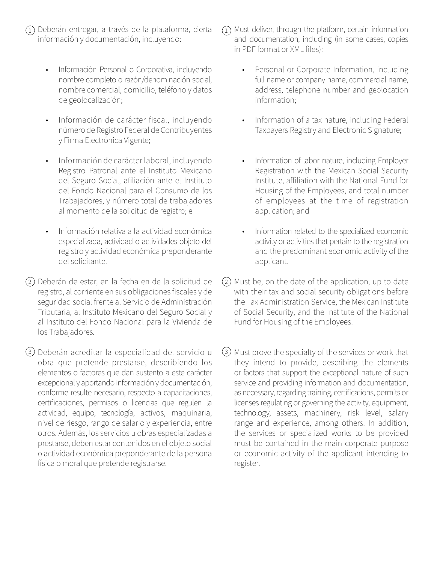- $\widehat{1)}$  Deberán entregar, a través de la plataforma, cierta información y documentación, incluyendo:
	- Información Personal o Corporativa, incluyendo nombre completo o razón/denominación social, nombre comercial, domicilio, teléfono y datos de geolocalización;
	- Información de carácter fiscal, incluyendo número de Registro Federal de Contribuyentes y Firma Electrónica Vigente;
	- Información de carácter laboral, incluyendo Registro Patronal ante el Instituto Mexicano del Seguro Social, afiliación ante el Instituto del Fondo Nacional para el Consumo de los Trabajadores, y número total de trabajadores al momento de la solicitud de registro; e
	- Información relativa a la actividad económica especializada, actividad o actividades objeto del registro y actividad económica preponderante del solicitante.
- Deberán de estar, en la fecha en de la solicitud de 2 2 registro, al corriente en sus obligaciones fiscales y de seguridad social frente al Servicio de Administración Tributaria, al Instituto Mexicano del Seguro Social y al Instituto del Fondo Nacional para la Vivienda de los Trabajadores.

3) Deberán acreditar la especialidad del servicio u (3 obra que pretende prestarse, describiendo los elementos o factores que dan sustento a este carácter excepcional y aportando información y documentación, conforme resulte necesario, respecto a capacitaciones, certificaciones, permisos o licencias que regulen la actividad, equipo, tecnología, activos, maquinaria, nivel de riesgo, rango de salario y experiencia, entre otros. Además, los servicios u obras especializadas a prestarse, deben estar contenidos en el objeto social o actividad económica preponderante de la persona física o moral que pretende registrarse.

- $\widehat{1)}$  Must deliver, through the platform, certain information and documentation, including (in some cases, copies in PDF format or XML files):
	- Personal or Corporate Information, including full name or company name, commercial name, address, telephone number and geolocation information;
	- Information of a tax nature, including Federal Taxpayers Registry and Electronic Signature;
	- Information of labor nature, including Employer Registration with the Mexican Social Security Institute, affiliation with the National Fund for Housing of the Employees, and total number of employees at the time of registration application; and
	- Information related to the specialized economic activity or activities that pertain to the registration and the predominant economic activity of the applicant.
- $(2)$  Must be, on the date of the application, up to date with their tax and social security obligations before the Tax Administration Service, the Mexican Institute of Social Security, and the Institute of the National Fund for Housing of the Employees.
- Must prove the specialty of the services or work that they intend to provide, describing the elements or factors that support the exceptional nature of such service and providing information and documentation, as necessary, regarding training, certifications, permits or licenses regulating or governing the activity, equipment, technology, assets, machinery, risk level, salary range and experience, among others. In addition, the services or specialized works to be provided must be contained in the main corporate purpose or economic activity of the applicant intending to register.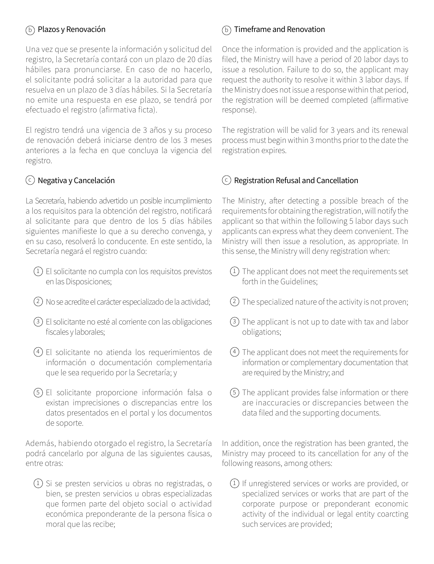#### $\delta$ ) Plazos y Renovación  $\delta$

Una vez que se presente la información y solicitud del registro, la Secretaría contará con un plazo de 20 días hábiles para pronunciarse. En caso de no hacerlo, el solicitante podrá solicitar a la autoridad para que resuelva en un plazo de 3 días hábiles. Si la Secretaría no emite una respuesta en ese plazo, se tendrá por efectuado el registro (afirmativa ficta).

El registro tendrá una vigencia de 3 años y su proceso de renovación deberá iniciarse dentro de los 3 meses anteriores a la fecha en que concluya la vigencia del registro.

#### $\circlearrowright$  Negativa y Cancelación  $\hspace{1cm}(\circlearrowleft$

La Secretaría, habiendo advertido un posible incumplimiento a los requisitos para la obtención del registro, notificará al solicitante para que dentro de los 5 días hábiles siguientes manifieste lo que a su derecho convenga, y en su caso, resolverá lo conducente. En este sentido, la Secretaría negará el registro cuando:

- $\mathfrak 1)$  El solicitante no cumpla con los requisitos previstos  $\qquad \qquad (1)$ en las Disposiciones;
- No se acredite el carácter especializado de la actividad; 2 2
- El solicitante no esté al corriente con las obligaciones 3 3 fiscales y laborales;
- 4) El solicitante no atienda los requerimientos de  $(4)$ información o documentación complementaria que le sea requerido por la Secretaría; y
- 5) El solicitante proporcione información falsa o (5 existan imprecisiones o discrepancias entre los datos presentados en el portal y los documentos de soporte.

Además, habiendo otorgado el registro, la Secretaría podrá cancelarlo por alguna de las siguientes causas, entre otras:

 $1)$  Si se presten servicios u obras no registradas, o  $1$ bien, se presten servicios u obras especializadas que formen parte del objeto social o actividad económica preponderante de la persona física o moral que las recibe;

### (b) Timeframe and Renovation

Once the information is provided and the application is filed, the Ministry will have a period of 20 labor days to issue a resolution. Failure to do so, the applicant may request the authority to resolve it within 3 labor days. If the Ministry does not issue a response within that period, the registration will be deemed completed (affirmative response).

The registration will be valid for 3 years and its renewal process must begin within 3 months prior to the date the registration expires.

## $\left( \infty \right)$  Registration Refusal and Cancellation

The Ministry, after detecting a possible breach of the requirements for obtaining the registration, will notify the applicant so that within the following 5 labor days such applicants can express what they deem convenient. The Ministry will then issue a resolution, as appropriate. In this sense, the Ministry will deny registration when:

- $(1)$  The applicant does not meet the requirements set forth in the Guidelines:
- $(2)$  The specialized nature of the activity is not proven;
- $(3)$  The applicant is not up to date with tax and labor obligations;
- The applicant does not meet the requirements for information or complementary documentation that are required by the Ministry; and
- The applicant provides false information or there are inaccuracies or discrepancies between the data filed and the supporting documents.

In addition, once the registration has been granted, the Ministry may proceed to its cancellation for any of the following reasons, among others:

 $(1)$  If unregistered services or works are provided, or specialized services or works that are part of the corporate purpose or preponderant economic activity of the individual or legal entity coarcting such services are provided;